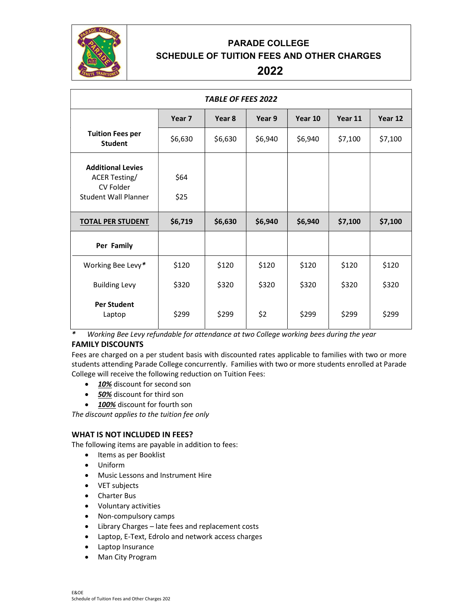

# PARADE COLLEGE SCHEDULE OF TUITION FEES AND OTHER CHARGES

# 2022

| <b>TABLE OF FEES 2022</b>                                                                    |                   |         |         |         |         |         |
|----------------------------------------------------------------------------------------------|-------------------|---------|---------|---------|---------|---------|
|                                                                                              | Year <sub>7</sub> | Year 8  | Year 9  | Year 10 | Year 11 | Year 12 |
| <b>Tuition Fees per</b><br><b>Student</b>                                                    | \$6,630           | \$6,630 | \$6,940 | \$6,940 | \$7,100 | \$7,100 |
| <b>Additional Levies</b><br><b>ACER Testing/</b><br>CV Folder<br><b>Student Wall Planner</b> | \$64<br>\$25      |         |         |         |         |         |
| <b>TOTAL PER STUDENT</b>                                                                     | \$6,719           | \$6,630 | \$6,940 | \$6,940 | \$7,100 | \$7,100 |
| Per Family                                                                                   |                   |         |         |         |         |         |
| Working Bee Levy*                                                                            | \$120             | \$120   | \$120   | \$120   | \$120   | \$120   |
| <b>Building Levy</b>                                                                         | \$320             | \$320   | \$320   | \$320   | \$320   | \$320   |
| <b>Per Student</b><br>Laptop                                                                 | \$299             | \$299   | \$299   | \$299   | \$299   | \$299   |

\* Working Bee Levy refundable for attendance at two College working bees during the year

## FAMILY DISCOUNTS

Fees are charged on a per student basis with discounted rates applicable to families with two or more students attending Parade College concurrently. Families with two or more students enrolled at Parade College will receive the following reduction on Tuition Fees:

- 10% discount for second son
- 50% discount for third son
- 100% discount for fourth son

The discount applies to the tuition fee only

### WHAT IS NOT INCLUDED IN FEES?

The following items are payable in addition to fees:

- Items as per Booklist
- Uniform
- Music Lessons and Instrument Hire
- VET subjects
- Charter Bus
- Voluntary activities
- Non-compulsory camps
- Library Charges late fees and replacement costs
- Laptop, E-Text, Edrolo and network access charges
- Laptop Insurance
- Man City Program